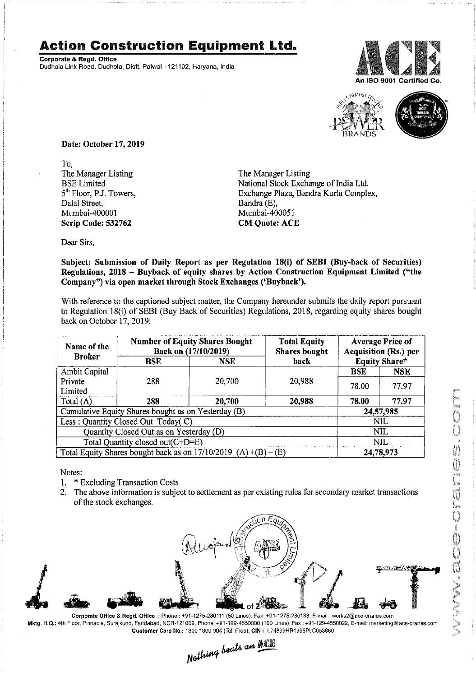## Action Construction **Equipment** Ltd..

Corporate& Regd.Office Dudhola Link Road, Dudhola, Distt. Palwal - 121102, Haryana, India





Date: October 17, 2019

To, The Manager Listing BSE Limited 5<sup>th</sup> Floor, P.J. Towers, Dalal Street, Mumbai-400001 Scrip Code: 532762

The Manager Listing National Stock Exchange of India Ltd. Exchange Plaza, Bandra Kurla Complex, Bandra (E), Mumbai -400051 **CM Ouote: ACE** 

Dear Sirs,

Subject: Submission of Daily Report as per Regulation 18(i) of SEBI (Buy-back of Securities) Regulations, 2018 - Buyback of equity shares by Action Construction Equipment Limited ("the Company") via open market through Stock Exchanges ('Buyback').

With reference to the captioned subject matter, the Company hereunder submits the daily report pursuant to Regulation 18(i) of SEBI (Buy Back of Securities) Regulations, 2018, regarding equity shares bought back on October 17,2019:

| Name of the<br><b>Broker</b>                                        | <b>Number of Equity Shares Bought</b><br>Back on (17/10/2019) |        | <b>Total Equity</b><br><b>Shares</b> bought | <b>Average Price of</b><br>Acquisition (Rs.) per |            |  |
|---------------------------------------------------------------------|---------------------------------------------------------------|--------|---------------------------------------------|--------------------------------------------------|------------|--|
|                                                                     | BSE                                                           | NSE    | back                                        | <b>Equity Share*</b>                             |            |  |
| Ambit Capital                                                       |                                                               |        |                                             | BSE                                              | <b>NSE</b> |  |
| Private                                                             | 288                                                           | 20,700 | 20,988                                      | 78.00                                            | 77.97      |  |
| Limited                                                             |                                                               |        |                                             |                                                  |            |  |
| Total (A)                                                           | 288                                                           | 20,700 | 20,988                                      | 78.00                                            | 77.97      |  |
| Cumulative Equity Shares bought as on Yesterday (B)                 |                                                               |        |                                             |                                                  | 24,57,985  |  |
| Less: Quantity Closed Out Today(C)                                  |                                                               |        |                                             | <b>NIL</b>                                       |            |  |
| Quantity Closed Out as on Yesterday (D)                             |                                                               |        |                                             |                                                  | <b>NIL</b> |  |
| Total Quantity closed out(C+D=E)                                    |                                                               |        |                                             |                                                  | <b>NIL</b> |  |
| Total Equity Shares bought back as on $17/10/2019$ (A) $+(B) - (E)$ |                                                               |        |                                             | 24,78,973                                        |            |  |

Notes:

- 1. \* Excluding Transaction Costs
- 2. The above information is subject to settlement as per existing rules for secondary market transactions of the stock exchanges.



Mktg. H.Q.: 4th Floor.Pinnacle, Surajkund. Faridabad. NCR·121009, Phone: +91·129·4550000 (100 Lines), Fax: +91·129·4550022, E-mail:marketing@ace·cranes.com

Customer Care No.: 1800 1800 004 (Toll Free), CIN: L74899HR1995PLC053860<br>Nathing beats an **Newli**